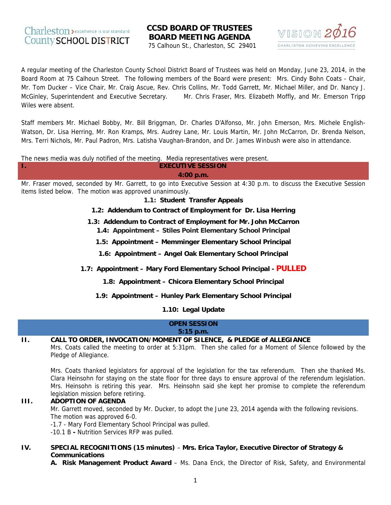Τ.

# **CCSD BOARD OF TRUSTEES BOARD MEETING AGENDA**

75 Calhoun St., Charleston, SC 29401



A regular meeting of the Charleston County School District Board of Trustees was held on Monday, June 23, 2014, in the Board Room at 75 Calhoun Street. The following members of the Board were present: Mrs. Cindy Bohn Coats - Chair, Mr. Tom Ducker - Vice Chair, Mr. Craig Ascue, Rev. Chris Collins, Mr. Todd Garrett, Mr. Michael Miller, and Dr. Nancy J. McGinley, Superintendent and Executive Secretary. Mr. Chris Fraser, Mrs. Elizabeth Moffly, and Mr. Emerson Tripp Wiles were absent.

Staff members Mr. Michael Bobby, Mr. Bill Briggman, Dr. Charles D'Alfonso, Mr. John Emerson, Mrs. Michele English-Watson, Dr. Lisa Herring, Mr. Ron Kramps, Mrs. Audrey Lane, Mr. Louis Martin, Mr. John McCarron, Dr. Brenda Nelson, Mrs. Terri Nichols, Mr. Paul Padron, Mrs. Latisha Vaughan-Brandon, and Dr. James Winbush were also in attendance.

The news media was duly notified of the meeting. Media representatives were present.

**EXECUTIVE SESSION** 4:00 p.m.

Mr. Fraser moved, seconded by Mr. Garrett, to go into Executive Session at 4:30 p.m. to discuss the Executive Session items listed below. The motion was approved unanimously.

1.1: Student Transfer Appeals

- 1.2: Addendum to Contract of Employment for Dr. Lisa Herring
- 1.3: Addendum to Contract of Employment for Mr. John McCarron 1.4: Appointment - Stiles Point Elementary School Principal
	- 1.5: Appointment Memminger Elementary School Principal
	- 1.6: Appointment Angel Oak Elementary School Principal
- 1.7: Appointment Mary Ford Elementary School Principal PULLED
	- 1.8: Appointment Chicora Elementary School Principal

1.9: Appointment - Hunley Park Elementary School Principal

1.10: Legal Update

#### **OPEN SESSION**  $5:15$  p.m.

#### $\Pi$ . CALL TO ORDER, INVOCATION/MOMENT OF SILENCE, & PLEDGE of ALLEGIANCE

Mrs. Coats called the meeting to order at 5:31pm. Then she called for a Moment of Silence followed by the Pledge of Allegiance.

Mrs. Coats thanked legislators for approval of the legislation for the tax referendum. Then she thanked Ms. Clara Heinsohn for staying on the state floor for three days to ensure approval of the referendum legislation. Mrs. Heinsohn is retiring this year. Mrs. Heinsohn said she kept her promise to complete the referendum legislation mission before retiring.

#### $III.$ **ADOPTION OF AGENDA**

Mr. Garrett moved, seconded by Mr. Ducker, to adopt the June 23, 2014 agenda with the following revisions. The motion was approved 6-0.

-1.7 - Mary Ford Elementary School Principal was pulled.

-10.1 B - Nutrition Services RFP was pulled.

#### IV. SPECIAL RECOGNITIONS (15 minutes) - Mrs. Erica Taylor, Executive Director of Strategy & **Communications**

A. Risk Management Product Award - Ms. Dana Enck, the Director of Risk, Safety, and Environmental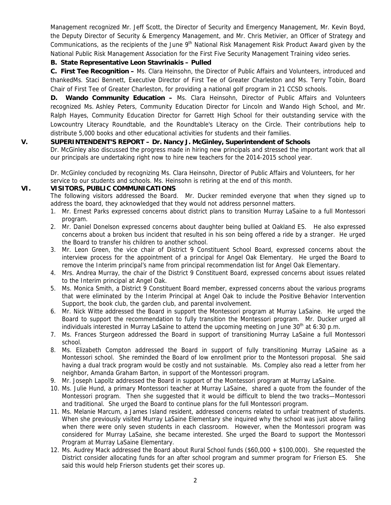Management recognized Mr. Jeff Scott, the Director of Security and Emergency Management, Mr. Kevin Boyd, the Deputy Director of Security & Emergency Management, and Mr. Chris Metivier, an Officer of Strategy and Communications, as the recipients of the June 9<sup>th</sup> National Risk Management Risk Product Award given by the National Public Risk Management Association for the First Five Security Management Training video series.

## **B. State Representative Leon Stavrinakis – Pulled**

**C. First Tee Recognition –** Ms. Clara Heinsohn, the Director of Public Affairs and Volunteers, introduced and thankedMs. Staci Bennett, Executive Director of First Tee of Greater Charleston and Ms. Terry Tobin, Board Chair of First Tee of Greater Charleston, for providing a national golf program in 21 CCSD schools.

**D. Wando Community Education –** Ms. Clara Heinsohn, Director of Public Affairs and Volunteers recognized Ms. Ashley Peters, Community Education Director for Lincoln and Wando High School, and Mr. Ralph Hayes, Community Education Director for Garrett High School for their outstanding service with the Lowcountry Literacy Roundtable, and the Roundtable's Literacy on the Circle. Their contributions help to distribute 5,000 books and other educational activities for students and their families.

## **V. SUPERINTENDENT'S REPORT – Dr. Nancy J. McGinley, Superintendent of Schools**

Dr. McGinley also discussed the progress made in hiring new principals and stressed the important work that all our principals are undertaking right now to hire new teachers for the 2014-2015 school year.

Dr. McGinley concluded by recognizing Ms. Clara Heinsohn, Director of Public Affairs and Volunteers, for her service to our students and schools. Ms. Heinsohn is retiring at the end of this month.

### **VI. VISITORS, PUBLIC COMMUNICATIONS**

The following visitors addressed the Board. Mr. Ducker reminded everyone that when they signed up to address the board, they acknowledged that they would not address personnel matters.

- 1. Mr. Ernest Parks expressed concerns about district plans to transition Murray LaSaine to a full Montessori program.
- 2. Mr. Daniel Donelson expressed concerns about daughter being bullied at Oakland ES. He also expressed concerns about a broken bus incident that resulted in his son being offered a ride by a stranger. He urged the Board to transfer his children to another school.
- 3. Mr. Leon Green, the vice chair of District 9 Constituent School Board, expressed concerns about the interview process for the appointment of a principal for Angel Oak Elementary. He urged the Board to remove the Interim principal's name from principal recommendation list for Angel Oak Elementary.
- 4. Mrs. Andrea Murray, the chair of the District 9 Constituent Board, expressed concerns about issues related to the Interim principal at Angel Oak.
- 5. Ms. Monica Smith, a District 9 Constituent Board member, expressed concerns about the various programs that were eliminated by the Interim Principal at Angel Oak to include the Positive Behavior Intervention Support, the book club, the garden club, and parental involvement.
- 6. Mr. Nick Witte addressed the Board in support the Montessori program at Murray LaSaine. He urged the Board to support the recommendation to fully transition the Montessori program. Mr. Ducker urged all individuals interested in Murray LaSaine to attend the upcoming meeting on June  $30<sup>th</sup>$  at 6:30 p.m.
- 7. Ms. Frances Sturgeon addressed the Board in support of transitioning Murray LaSaine a full Montessori school.
- 8. Ms. Elizabeth Compton addressed the Board in support of fully transitioning Murray LaSaine as a Montessori school. She reminded the Board of low enrollment prior to the Montessori proposal. She said having a dual track program would be costly and not sustainable. Ms. Compley also read a letter from her neighbor, Amanda Graham Barton, in support of the Montessori program.
- 9. Mr. Joseph Lapollz addressed the Board in support of the Montessori program at Murray LaSaine.
- 10. Ms. Julie Hund, a primary Montessori teacher at Murray LaSaine, shared a quote from the founder of the Montessori program. Then she suggested that it would be difficult to blend the two tracks—Montessori and traditional. She urged the Board to continue plans for the full Montessori program.
- 11. Ms. Melanie Marcum, a James Island resident, addressed concerns related to unfair treatment of students. When she previously visited Murray LaSaine Elementary she inquired why the school was just above failing when there were only seven students in each classroom. However, when the Montessori program was considered for Murray LaSaine, she became interested. She urged the Board to support the Montessori Program at Murray LaSaine Elementary.
- 12. Ms. Audrey Mack addressed the Board about Rural School funds (\$60,000 + \$100,000). She requested the District consider allocating funds for an after school program and summer program for Frierson ES. She said this would help Frierson students get their scores up.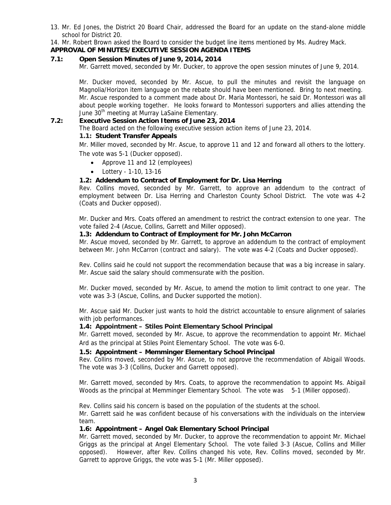13. Mr. Ed Jones, the District 20 Board Chair, addressed the Board for an update on the stand-alone middle school for District 20.

14. Mr. Robert Brown asked the Board to consider the budget line items mentioned by Ms. Audrey Mack.

## **APPROVAL OF MINUTES/EXECUTIVE SESSION AGENDA ITEMS**

### **7.1: Open Session Minutes of June 9, 2014, 2014**

Mr. Garrett moved, seconded by Mr. Ducker, to approve the open session minutes of June 9, 2014.

Mr. Ducker moved, seconded by Mr. Ascue, to pull the minutes and revisit the language on Magnolia/Horizon item language on the rebate should have been mentioned. Bring to next meeting. Mr. Ascue responded to a comment made about Dr. Maria Montessori, he said Dr. Montessori was all about people working together. He looks forward to Montessori supporters and allies attending the June 30<sup>th</sup> meeting at Murray LaSaine Elementary.

## **7.2: Executive Session Action Items of June 23, 2014**

The Board acted on the following executive session action items of June 23, 2014.

#### **1.1: Student Transfer Appeals**

Mr. Miller moved, seconded by Mr. Ascue, to approve 11 and 12 and forward all others to the lottery. The vote was 5-1 (Ducker opposed).

- Approve 11 and 12 (employees)
- Lottery 1-10, 13-16

#### **1.2: Addendum to Contract of Employment for Dr. Lisa Herring**

Rev. Collins moved, seconded by Mr. Garrett, to approve an addendum to the contract of employment between Dr. Lisa Herring and Charleston County School District. The vote was 4-2 (Coats and Ducker opposed).

Mr. Ducker and Mrs. Coats offered an amendment to restrict the contract extension to one year. The vote failed 2-4 (Ascue, Collins, Garrett and Miller opposed).

#### **1.3: Addendum to Contract of Employment for Mr. John McCarron**

Mr. Ascue moved, seconded by Mr. Garrett, to approve an addendum to the contract of employment between Mr. John McCarron (contract and salary). The vote was 4-2 (Coats and Ducker opposed).

Rev. Collins said he could not support the recommendation because that was a big increase in salary. Mr. Ascue said the salary should commensurate with the position.

Mr. Ducker moved, seconded by Mr. Ascue, to amend the motion to limit contract to one year. The vote was 3-3 (Ascue, Collins, and Ducker supported the motion).

Mr. Ascue said Mr. Ducker just wants to hold the district accountable to ensure alignment of salaries with job performances.

#### **1.4: Appointment – Stiles Point Elementary School Principal**

Mr. Garrett moved, seconded by Mr. Ascue, to approve the recommendation to appoint Mr. Michael Ard as the principal at Stiles Point Elementary School. The vote was 6-0.

#### **1.5: Appointment – Memminger Elementary School Principal**

Rev. Collins moved, seconded by Mr. Ascue, to not approve the recommendation of Abigail Woods. The vote was 3-3 (Collins, Ducker and Garrett opposed).

Mr. Garrett moved, seconded by Mrs. Coats, to approve the recommendation to appoint Ms. Abigail Woods as the principal at Memminger Elementary School. The vote was 5-1 (Miller opposed).

Rev. Collins said his concern is based on the population of the students at the school.

Mr. Garrett said he was confident because of his conversations with the individuals on the interview team.

### **1.6: Appointment – Angel Oak Elementary School Principal**

Mr. Garrett moved, seconded by Mr. Ducker, to approve the recommendation to appoint Mr. Michael Griggs as the principal at Angel Elementary School. The vote failed 3-3 (Ascue, Collins and Miller opposed). However, after Rev. Collins changed his vote, Rev. Collins moved, seconded by Mr. Garrett to approve Griggs, the vote was 5-1 (Mr. Miller opposed).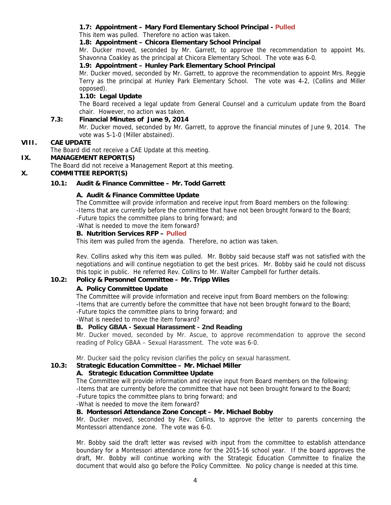## **1.7: Appointment – Mary Ford Elementary School Principal - Pulled**

This item was pulled. Therefore no action was taken.

## **1.8: Appointment – Chicora Elementary School Principal**

Mr. Ducker moved, seconded by Mr. Garrett, to approve the recommendation to appoint Ms. Shavonna Coakley as the principal at Chicora Elementary School. The vote was 6-0.

## **1.9: Appointment – Hunley Park Elementary School Principal**

Mr. Ducker moved, seconded by Mr. Garrett, to approve the recommendation to appoint Mrs. Reggie Terry as the principal at Hunley Park Elementary School. The vote was 4-2, (Collins and Miller opposed).

## **1.10: Legal Update**

The Board received a legal update from General Counsel and a curriculum update from the Board chair. However, no action was taken.

## **7.3: Financial Minutes of June 9, 2014**

Mr. Ducker moved, seconded by Mr. Garrett, to approve the financial minutes of June 9, 2014. The vote was 5-1-0 (Miller abstained).

#### **VIII. CAE UPDATE**

The Board did not receive a CAE Update at this meeting.

### **IX. MANAGEMENT REPORT(S)**

The Board did not receive a Management Report at this meeting.

### **X. COMMITTEE REPORT(S)**

## **10.1: Audit & Finance Committee – Mr. Todd Garrett**

#### **A. Audit & Finance Committee Update**

The Committee will provide information and receive input from Board members on the following: -Items that are currently before the committee that have not been brought forward to the Board; -Future topics the committee plans to bring forward; and

-What is needed to move the item forward?

#### **B. Nutrition Services RFP – Pulled**

This item was pulled from the agenda. Therefore, no action was taken.

Rev. Collins asked why this item was pulled. Mr. Bobby said because staff was not satisfied with the negotiations and will continue negotiation to get the best prices. Mr. Bobby said he could not discuss this topic in public. He referred Rev. Collins to Mr. Walter Campbell for further details.

#### **10.2: Policy & Personnel Committee – Mr. Tripp Wiles**

### **A. Policy Committee Update**

The Committee will provide information and receive input from Board members on the following: -Items that are currently before the committee that have not been brought forward to the Board; -Future topics the committee plans to bring forward; and

-What is needed to move the item forward?

## **B. Policy GBAA - Sexual Harassment - 2nd Reading**

Mr. Ducker moved, seconded by Mr. Ascue, to approve recommendation to approve the second reading of Policy GBAA – Sexual Harassment. The vote was 6-0.

Mr. Ducker said the policy revision clarifies the policy on sexual harassment.

## **10.3: Strategic Education Committee – Mr. Michael Miller**

### **A. Strategic Education Committee Update**

The Committee will provide information and receive input from Board members on the following: -Items that are currently before the committee that have not been brought forward to the Board; -Future topics the committee plans to bring forward; and

-What is needed to move the item forward?

### **B. Montessori Attendance Zone Concept – Mr. Michael Bobby**

Mr. Ducker moved, seconded by Rev. Collins, to approve the letter to parents concerning the Montessori attendance zone. The vote was 6-0.

Mr. Bobby said the draft letter was revised with input from the committee to establish attendance boundary for a Montessori attendance zone for the 2015-16 school year. If the board approves the draft, Mr. Bobby will continue working with the Strategic Education Committee to finalize the document that would also go before the Policy Committee. No policy change is needed at this time.